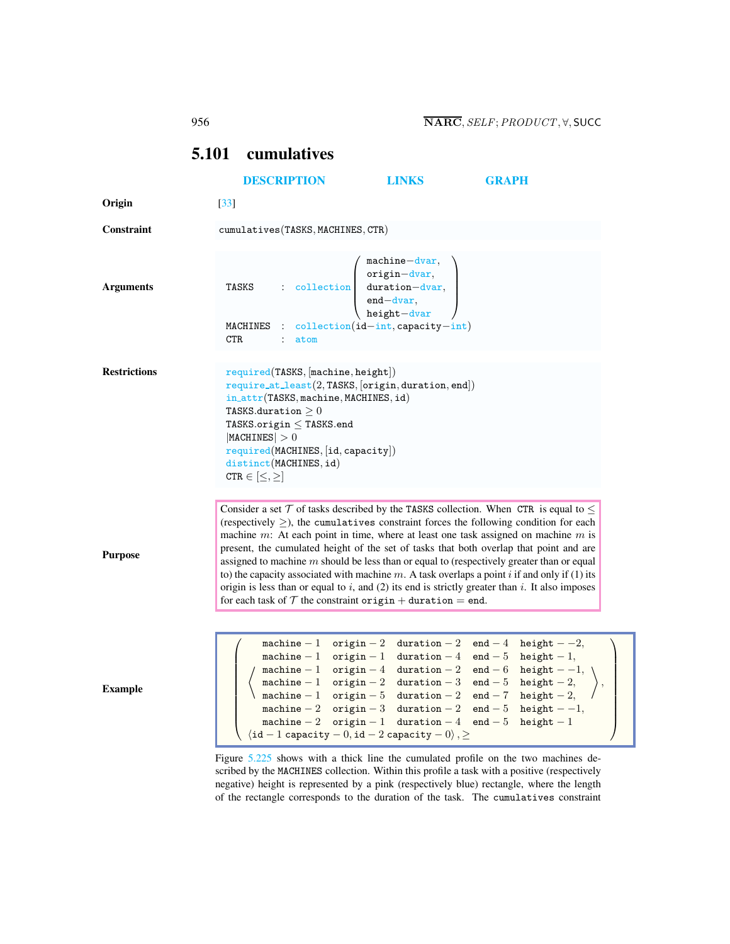## <span id="page-0-0"></span>5.101 cumulatives

|                     | <b>DESCRIPTION</b>                                                                                                                                                                                                                                                                                                           | <b>LINKS</b>                                                                                                                                                                                                                                                                                                                                                                                                                       | <b>GRAPH</b>                                                                                                                                                                                                                                                                                                                                                                                                                                                                                                                                                                                                                                                                                       |
|---------------------|------------------------------------------------------------------------------------------------------------------------------------------------------------------------------------------------------------------------------------------------------------------------------------------------------------------------------|------------------------------------------------------------------------------------------------------------------------------------------------------------------------------------------------------------------------------------------------------------------------------------------------------------------------------------------------------------------------------------------------------------------------------------|----------------------------------------------------------------------------------------------------------------------------------------------------------------------------------------------------------------------------------------------------------------------------------------------------------------------------------------------------------------------------------------------------------------------------------------------------------------------------------------------------------------------------------------------------------------------------------------------------------------------------------------------------------------------------------------------------|
| Origin              | $[33]$                                                                                                                                                                                                                                                                                                                       |                                                                                                                                                                                                                                                                                                                                                                                                                                    |                                                                                                                                                                                                                                                                                                                                                                                                                                                                                                                                                                                                                                                                                                    |
| Constraint          | cumulatives (TASKS, MACHINES, CTR)                                                                                                                                                                                                                                                                                           |                                                                                                                                                                                                                                                                                                                                                                                                                                    |                                                                                                                                                                                                                                                                                                                                                                                                                                                                                                                                                                                                                                                                                                    |
|                     |                                                                                                                                                                                                                                                                                                                              | $machine-dvar,$                                                                                                                                                                                                                                                                                                                                                                                                                    |                                                                                                                                                                                                                                                                                                                                                                                                                                                                                                                                                                                                                                                                                                    |
| <b>Arguments</b>    | TASKS                                                                                                                                                                                                                                                                                                                        | $\begin{array}{r l} \text{.} & \text{.} & \text{.} \\ \text{.} & \text{.} & \text{.} \\ \text{.} & \text{.} & \text{.} \\ \text{.} & \text{.} & \text{.} \\ \text{.} & \text{.} & \text{.} \\ \text{.} & \text{.} & \text{.} \\ \text{.} & \text{.} & \text{.} \\ \text{.} & \text{.} & \text{.} \\ \text{.} & \text{.} & \text{.} \\ \text{.} & \text{.} & \text{.} \\ \text{.} & \text{.} & \text{.} \\ \text{.} & \text{.} & \$ |                                                                                                                                                                                                                                                                                                                                                                                                                                                                                                                                                                                                                                                                                                    |
|                     | MACHINES : $\text{collection}(id-int, \text{capacity}-int)$<br><b>CTR</b><br>atom                                                                                                                                                                                                                                            |                                                                                                                                                                                                                                                                                                                                                                                                                                    |                                                                                                                                                                                                                                                                                                                                                                                                                                                                                                                                                                                                                                                                                                    |
| <b>Restrictions</b> | required(TASKS, [machine, height])<br>$require\_at\_least(2, TASKS, [origin, duration, end])$<br>in_attr(TASKS, machine, MACHINES, id)<br>TASKS.duration $\geq 0$<br>TASKS.origin $\leq$ TASKS.end<br> MACHINES  > 0<br>$required(MACHINES, \lceil id, capacity \rceil)$<br>distinct(MACHINES, id)<br>$CTR \in [\leq, \geq]$ |                                                                                                                                                                                                                                                                                                                                                                                                                                    |                                                                                                                                                                                                                                                                                                                                                                                                                                                                                                                                                                                                                                                                                                    |
| <b>Purpose</b>      | for each task of $T$ the constraint origin + duration = end.                                                                                                                                                                                                                                                                 |                                                                                                                                                                                                                                                                                                                                                                                                                                    | Consider a set $\mathcal T$ of tasks described by the TASKS collection. When CTR is equal to $\leq$<br>(respectively $\geq$ ), the cumulatives constraint forces the following condition for each<br>machine $m$ : At each point in time, where at least one task assigned on machine $m$ is<br>present, the cumulated height of the set of tasks that both overlap that point and are<br>assigned to machine $m$ should be less than or equal to (respectively greater than or equal<br>to) the capacity associated with machine $m$ . A task overlaps a point $i$ if and only if (1) its<br>origin is less than or equal to $i$ , and (2) its end is strictly greater than $i$ . It also imposes |
| <b>Example</b>      |                                                                                                                                                                                                                                                                                                                              | $\langle$ id - 1 capacity - 0, id - 2 capacity - 0 $\rangle$ , $\geq$                                                                                                                                                                                                                                                                                                                                                              | machine - 1 origin - 2 duration - 2 end - 4 height - -2,<br>machine $-1$ origin $-1$ duration $-4$ end $-5$ height $-1$ ,<br>$\begin{array}{cccc} \text{machine} - 1 & \text{origin} - 4 & \text{duration} - 2 & \text{end} - 6 & \text{height} - 1, \\ \text{machine} - 1 & \text{origin} - 2 & \text{duration} - 3 & \text{end} - 5 & \text{height} - 2, \\ \text{machine} - 1 & \text{origin} - 5 & \text{duration} - 2 & \text{end} - 7 & \text{height} - 2, \\ \end{array}$<br>machine - 2 origin - 3 duration - 2 end - 5 height - -1,<br>machine - 2 origin - 1 duration - 4 end - 5 height - 1                                                                                             |
|                     |                                                                                                                                                                                                                                                                                                                              |                                                                                                                                                                                                                                                                                                                                                                                                                                    | Figure 5.225 shows with a thick line the cumulated profile on the two machines de-<br>scribed by the MACHINES collection. Within this profile a task with a positive (respectively                                                                                                                                                                                                                                                                                                                                                                                                                                                                                                                 |

scribed by the MACHINES collection. Within this profile a task with a positive (respectively negative) height is represented by a pink (respectively blue) rectangle, where the length of the rectangle corresponds to the duration of the task. The cumulatives constraint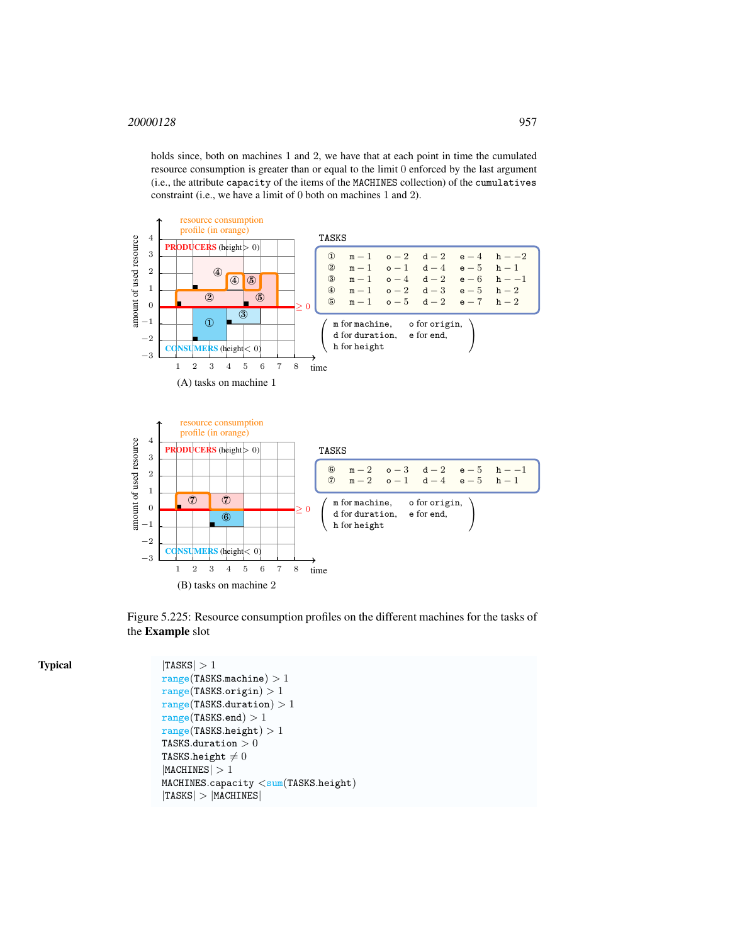holds since, both on machines 1 and 2, we have that at each point in time the cumulated resource consumption is greater than or equal to the limit 0 enforced by the last argument (i.e., the attribute capacity of the items of the MACHINES collection) of the cumulatives constraint (i.e., we have a limit of 0 both on machines 1 and 2).



<span id="page-1-0"></span>Figure 5.225: Resource consumption profiles on the different machines for the tasks of the Example slot

```
|TASKS| > 1range(TASKS.machine) > 1range(TASKS.origin) > 1range(TASKS.duration) > 1range(TASKS.end) > 1range(TASKS.height) > 1TASKS.duration >0TASKS.height \neq 0|MACHINES| > 1MACHINES.capacity < sum(TASKS.height)|TASKS| > |MACHINES|
```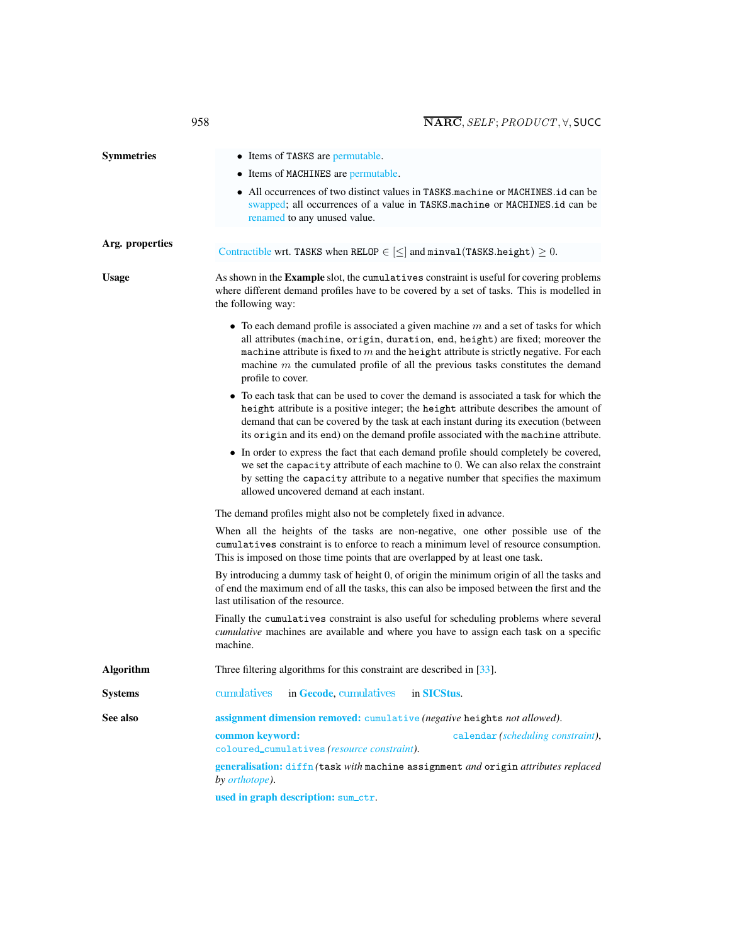<span id="page-2-0"></span>

| <b>Symmetries</b> | • Items of TASKS are permutable.                                                                                                                                                                                                                                                                                                                                                   |  |  |
|-------------------|------------------------------------------------------------------------------------------------------------------------------------------------------------------------------------------------------------------------------------------------------------------------------------------------------------------------------------------------------------------------------------|--|--|
|                   | • Items of MACHINES are permutable.                                                                                                                                                                                                                                                                                                                                                |  |  |
|                   | • All occurrences of two distinct values in TASKS machine or MACHINES.id can be<br>swapped; all occurrences of a value in TASKS machine or MACHINES.id can be<br>renamed to any unused value.                                                                                                                                                                                      |  |  |
| Arg. properties   | Contractible wrt. TASKS when RELOP $\in$ $\leq$ and minval (TASKS height) $\geq$ 0.                                                                                                                                                                                                                                                                                                |  |  |
| <b>Usage</b>      | As shown in the <b>Example</b> slot, the cumulatives constraint is useful for covering problems<br>where different demand profiles have to be covered by a set of tasks. This is modelled in<br>the following way:                                                                                                                                                                 |  |  |
|                   | • To each demand profile is associated a given machine $m$ and a set of tasks for which<br>all attributes (machine, origin, duration, end, height) are fixed; moreover the<br>machine attribute is fixed to $m$ and the height attribute is strictly negative. For each<br>machine $m$ the cumulated profile of all the previous tasks constitutes the demand<br>profile to cover. |  |  |
|                   | • To each task that can be used to cover the demand is associated a task for which the<br>height attribute is a positive integer; the height attribute describes the amount of<br>demand that can be covered by the task at each instant during its execution (between<br>its origin and its end) on the demand profile associated with the machine attribute.                     |  |  |
|                   | • In order to express the fact that each demand profile should completely be covered,<br>we set the capacity attribute of each machine to 0. We can also relax the constraint<br>by setting the capacity attribute to a negative number that specifies the maximum<br>allowed uncovered demand at each instant.                                                                    |  |  |
|                   | The demand profiles might also not be completely fixed in advance.                                                                                                                                                                                                                                                                                                                 |  |  |
|                   | When all the heights of the tasks are non-negative, one other possible use of the<br>cumulatives constraint is to enforce to reach a minimum level of resource consumption.<br>This is imposed on those time points that are overlapped by at least one task.                                                                                                                      |  |  |
|                   | By introducing a dummy task of height 0, of origin the minimum origin of all the tasks and<br>of end the maximum end of all the tasks, this can also be imposed between the first and the<br>last utilisation of the resource.                                                                                                                                                     |  |  |
|                   | Finally the cumulatives constraint is also useful for scheduling problems where several<br>cumulative machines are available and where you have to assign each task on a specific<br>machine.                                                                                                                                                                                      |  |  |
| <b>Algorithm</b>  | Three filtering algorithms for this constraint are described in $[33]$ .                                                                                                                                                                                                                                                                                                           |  |  |
| <b>Systems</b>    | cumulatives<br>in Gecode, cumulatives<br>in SICStus.                                                                                                                                                                                                                                                                                                                               |  |  |
| See also          | assignment dimension removed: cumulative (negative heights not allowed).                                                                                                                                                                                                                                                                                                           |  |  |
|                   | common keyword:<br>calendar (scheduling constraint),<br>coloured_cumulatives (resource constraint).                                                                                                                                                                                                                                                                                |  |  |
|                   | generalisation: diffn (task with machine assignment and origin attributes replaced<br>by <i>orthotope</i> ).                                                                                                                                                                                                                                                                       |  |  |
|                   | used in graph description: sum_ctr.                                                                                                                                                                                                                                                                                                                                                |  |  |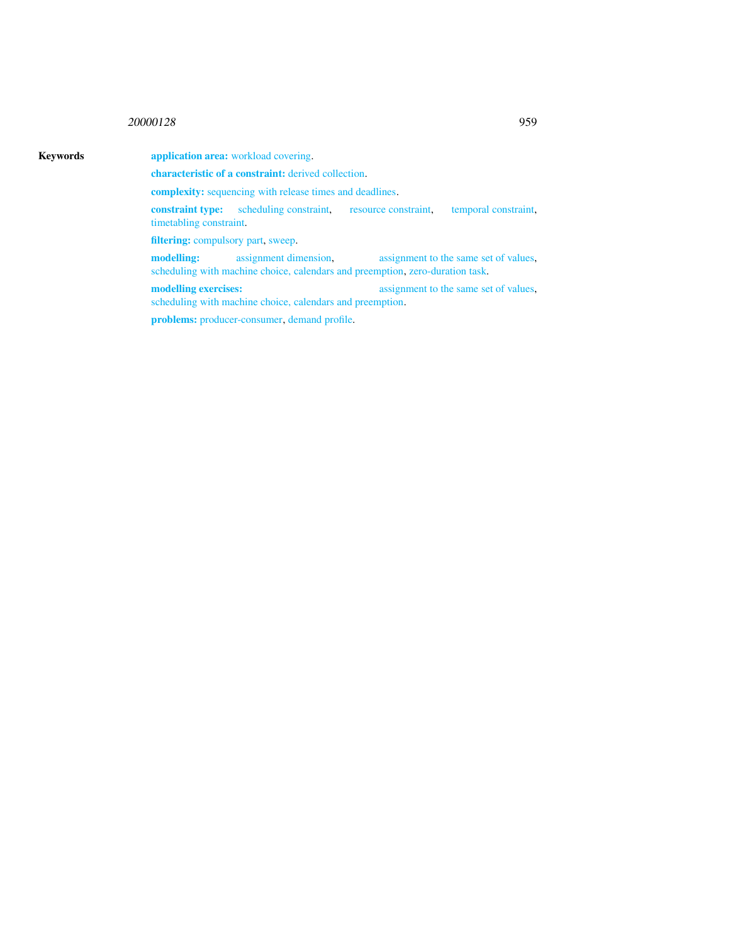## <sup>20000128</sup> 959

## Keywords **application area:** workload covering.

characteristic of a constraint: derived collection.

complexity: sequencing with release times and deadlines.

constraint type: scheduling constraint, resource constraint, temporal constraint, timetabling constraint.

filtering: compulsory part, sweep.

modelling: assignment dimension, assignment to the same set of values, scheduling with machine choice, calendars and preemption, zero-duration task.

modelling exercises: assignment to the same set of values, scheduling with machine choice, calendars and preemption.

problems: producer-consumer, demand profile.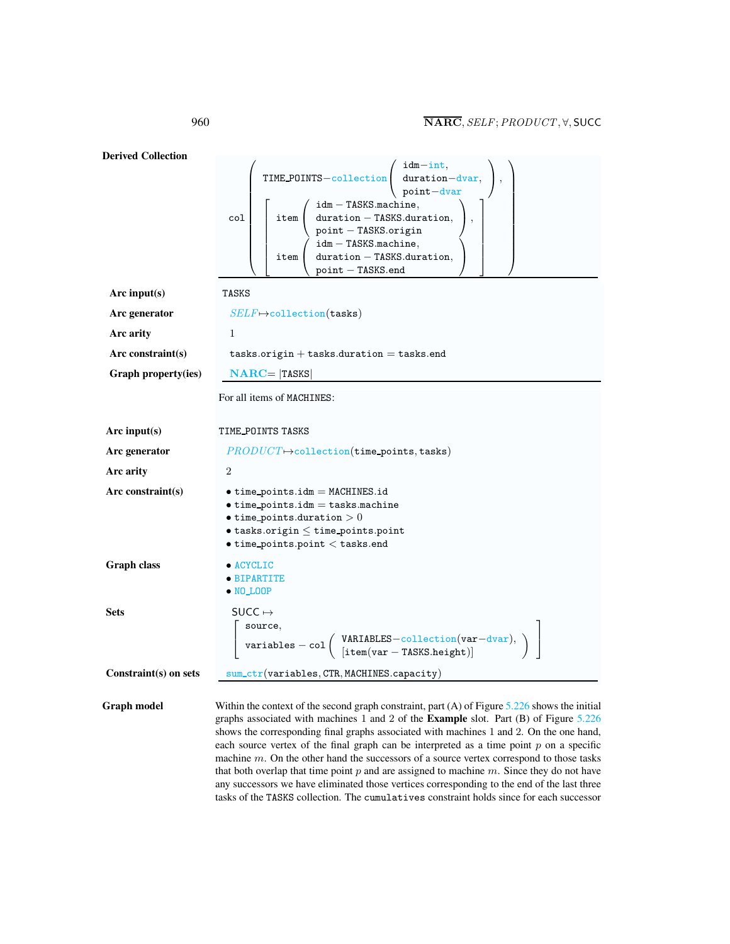Derived Collection col  $\sqrt{ }$  TIME POINTS−collection  $\sqrt{ }$  $\mathcal{L}$ idm−int, duration−dvar, point−dvar  $\setminus$  $\vert$ ,  $\sqrt{ }$  $\overline{1}$  $\overline{\phantom{a}}$  $\overline{1}$  $\perp$  $\overline{\phantom{a}}$  $\overline{1}$  $\overline{1}$ item  $\sqrt{ }$  $\mathcal{L}$ idm − TASKS.machine, duration − TASKS.duration, point − TASKS.origin  $\setminus$  $\vert$ , item  $\sqrt{ }$  $\mathcal{L}$ idm − TASKS.machine, duration − TASKS.duration, point − TASKS.end  $\setminus$  $\overline{1}$ 1  $\mathbf{I}$  $\overline{1}$  $\overline{1}$  $\mathbf{I}$  $\overline{1}$  $\overline{1}$  $\overline{1}$  $\setminus$  $\begin{array}{c} \begin{array}{c} \begin{array}{c} \begin{array}{c} \end{array} \\ \end{array} \end{array} \end{array}$ Arc input(s) TASKS Arc generator  $SELF \mapsto$ collection(tasks) Arc arity 1  $Arc constraint(s)$  tasks.origin + tasks.duration = tasks.end Graph property(ies)  $NARC = |TASKS|$ For all items of MACHINES: Arc input(s) TIME POINTS TASKS Arc generator  $PRODUCT \rightarrow collection(\mathtt{time\_points}, \mathtt{tasks})$ Arc arity 2  $Arc constraint(s)$  • time\_points.idm = MACHINES.id  $\bullet$  time\_points.idm = tasks.machine  $\bullet$  time\_points.duration  $>0$  $\bullet$  tasks.origin  $\leq$  time\_points.point • time points.point < tasks.end Graph class • ACYCLIC • BIPARTITE • NO LOOP Sets SUCC  $\mapsto$  $\sqrt{ }$  $\overline{1}$ source,  $\texttt{variables} - \texttt{col} \left( \begin{array}{l} \texttt{VARIABLES}-\texttt{collection}(\texttt{var}-\texttt{dvar}), \ \left[\texttt{item}(\texttt{var}-\texttt{TASKS}.\texttt{height})\right] \end{array} \right)$ 1  $\overline{1}$ Constraint(s) on sets sum\_ctr(variables, CTR, MACHINES.capacity) Graph model Within the context of the second graph constraint, part (A) of Figure [5.226](#page-5-0) shows the initial graphs associated with machines 1 and 2 of the Example slot. Part (B) of Figure [5.226](#page-5-0) shows the corresponding final graphs associated with machines 1 and 2. On the one hand, each source vertex of the final graph can be interpreted as a time point  $p$  on a specific machine  $m$ . On the other hand the successors of a source vertex correspond to those tasks

> that both overlap that time point  $p$  and are assigned to machine  $m$ . Since they do not have any successors we have eliminated those vertices corresponding to the end of the last three tasks of the TASKS collection. The cumulatives constraint holds since for each successor

<span id="page-4-0"></span>